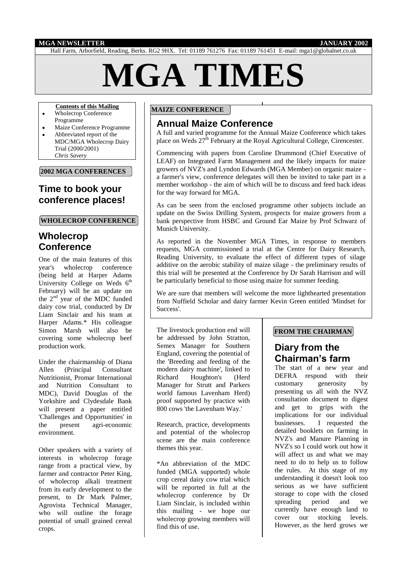#### **MGA NEWSLETTER JANUARY 2002**

Hall Farm, Arborfield, Reading, Berks. RG2 9HX. Tel: 01189 761276 Fax: 01189 761451 E-mail: mga1@globalnet.co.uk

# **MGA TIMES**

#### **Contents of this Mailing**

- Wholecrop Conference
- Programme
- Maize Conference Programme  $\bullet$ Abbreviated report of the MDC/MGA Wholecrop Dairy Trial (2000/2001) *Chris Savery*

**2002 MGA CONFERENCES**

# **Time to book your conference places!**

#### **WHOLECROP CONFERENCE**

# **Wholecrop Conference**

One of the main features of this year's wholecrop conference (being held at Harper Adams University College on Weds 6<sup>th</sup> February) will be an update on the 2nd year of the MDC funded dairy cow trial, conducted by Dr Liam Sinclair and his team at Harper Adams.\* His colleague Simon Marsh will also be covering some wholecrop beef production work.

Under the chairmanship of Diana Allen (Principal Consultant Nutritionist, Promar International and Nutrition Consultant to MDC), David Douglas of the Yorkshire and Clydesdale Bank will present a paper entitled 'Challenges and Opportunities' in the present agri-economic environment.

Other speakers with a variety of interests in wholecrop forage range from a practical view, by farmer and contractor Peter King, of wholecrop alkali treatment from its early development to the present, to Dr Mark Palmer, Agrovista Technical Manager, who will outline the forage potential of small grained cereal crops.

### **MAIZE CONFERENCE**

# **Annual Maize Conference**

A full and varied programme for the Annual Maize Conference which takes place on Weds  $27<sup>th</sup>$  February at the Royal Agricultural College, Cirencester.

Commencing with papers from Caroline Drummond (Chief Executive of LEAF) on Integrated Farm Management and the likely impacts for maize growers of NVZ's and Lyndon Edwards (MGA Member) on organic maize a farmer's view, conference delegates will then be invited to take part in a member workshop - the aim of which will be to discuss and feed back ideas for the way forward for MGA.

As can be seen from the enclosed programme other subjects include an update on the Swiss Drilling System, prospects for maize growers from a bank perspective from HSBC and Ground Ear Maize by Prof Schwarz of Munich University.

As reported in the November MGA Times, in response to members requests, MGA commissioned a trial at the Centre for Dairy Research, Reading University, to evaluate the effect of different types of silage additive on the aerobic stability of maize silage - the preliminary results of this trial will be presented at the Conference by Dr Sarah Harrison and will be particularly beneficial to those using maize for summer feeding.

We are sure that members will welcome the more lighthearted presentation from Nuffield Scholar and dairy farmer Kevin Green entitled 'Mindset for Success'.

The livestock production end will be addressed by John Stratton, Semex Manager for Southern England, covering the potential of the 'Breeding and feeding of the modern dairy machine', linked to Richard Houghton's (Herd Manager for Strutt and Parkers world famous Lavenham Herd) proof supported by practice with 800 cows 'the Lavenham Way.'

Research, practice, developments and potential of the wholecrop scene are the main conference themes this year.

\*An abbreviation of the MDC funded (MGA supported) whole crop cereal dairy cow trial which will be reported in full at the wholecrop conference by Dr Liam Sinclair, is included within this mailing - we hope our wholecrop growing members will find this of use.

#### **FROM THE CHAIRMAN**

# **Diary from the Chairman's farm**

The start of a new year and DEFRA respond with their customary generosity by presenting us all with the NVZ consultation document to digest and get to grips with the implications for our individual businesses. I requested the detailed booklets on farming in NVZ's and Manure Planning in NVZ's so I could work out how it will affect us and what we may need to do to help us to follow the rules. At this stage of my understanding it doesn't look too serious as we have sufficient storage to cope with the closed spreading period and we currently have enough land to cover our stocking levels. However, as the herd grows we